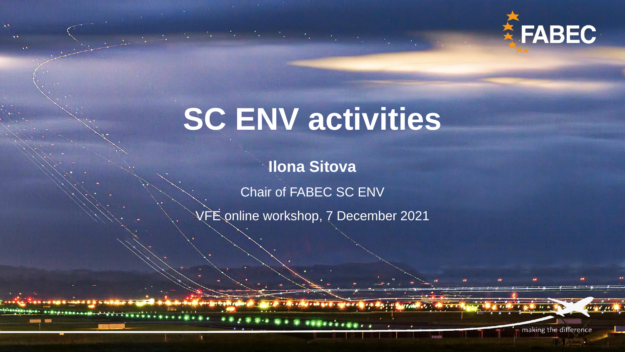

 $\lambda$ 

**Ilona Sitova**

Chair of FABEC SC ENV

VFE online workshop, 7 December 2021

para sing sip ang i ip di utilan sing

making the difference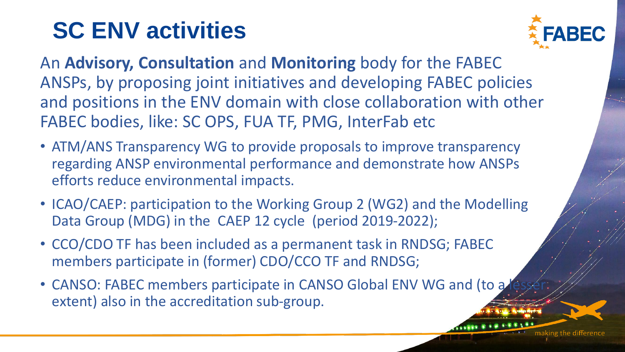

An **Advisory, Consultation** and **Monitoring** body for the FABEC ANSPs, by proposing joint initiatives and developing FABEC policies and positions in the ENV domain with close collaboration with other FABEC bodies, like: SC OPS, FUA TF, PMG, InterFab etc

- ATM/ANS Transparency WG to provide proposals to improve transparency regarding ANSP environmental performance and demonstrate how ANSPs efforts reduce environmental impacts.
- ICAO/CAEP: participation to the Working Group 2 (WG2) and the Modelling Data Group (MDG) in the CAEP 12 cycle (period 2019-2022);
- CCO/CDO TF has been included as a permanent task in RNDSG; FABEC members participate in (former) CDO/CCO TF and RNDSG;
- CANSO: FABEC members participate in CANSO Global ENV WG and (to a extent) also in the accreditation sub-group.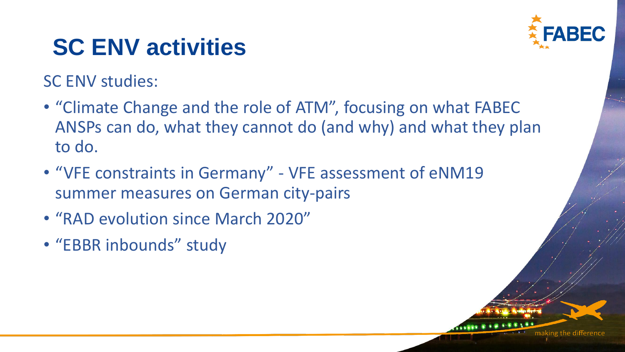

SC ENV studies:

- "Climate Change and the role of ATM", focusing on what FABEC ANSPs can do, what they cannot do (and why) and what they plan to do.
- "VFE constraints in Germany" VFE assessment of eNM19 summer measures on German city-pairs
- "RAD evolution since March 2020"
- "EBBR inbounds" study